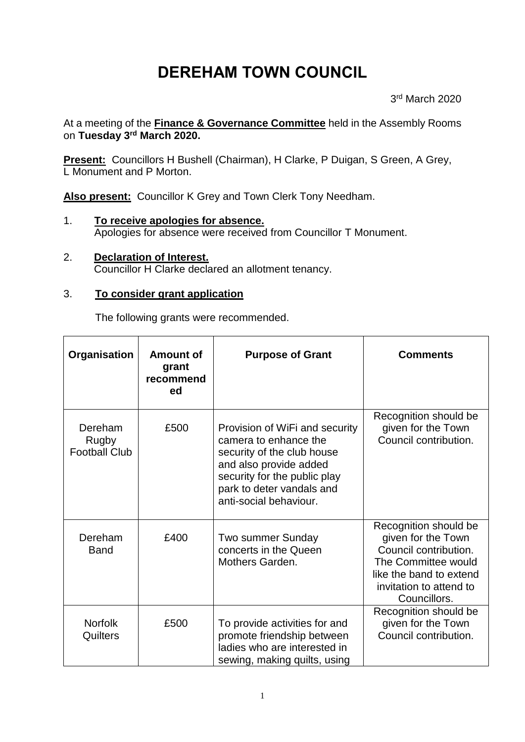# **DEREHAM TOWN COUNCIL**

3 rd March 2020

At a meeting of the **Finance & Governance Committee** held in the Assembly Rooms on **Tuesday 3 rd March 2020.**

**Present:** Councillors H Bushell (Chairman), H Clarke, P Duigan, S Green, A Grey, L Monument and P Morton.

**Also present:** Councillor K Grey and Town Clerk Tony Needham.

- 1. **To receive apologies for absence.** Apologies for absence were received from Councillor T Monument.
- 2. **Declaration of Interest.**  Councillor H Clarke declared an allotment tenancy.

## 3. **To consider grant application**

The following grants were recommended.

| Organisation                             | <b>Amount of</b><br>grant<br>recommend<br>ed | <b>Purpose of Grant</b>                                                                                                                                                                                | <b>Comments</b>                                                                                                                                                   |
|------------------------------------------|----------------------------------------------|--------------------------------------------------------------------------------------------------------------------------------------------------------------------------------------------------------|-------------------------------------------------------------------------------------------------------------------------------------------------------------------|
| Dereham<br>Rugby<br><b>Football Club</b> | £500                                         | Provision of WiFi and security<br>camera to enhance the<br>security of the club house<br>and also provide added<br>security for the public play<br>park to deter vandals and<br>anti-social behaviour. | Recognition should be<br>given for the Town<br>Council contribution.                                                                                              |
| Dereham<br><b>Band</b>                   | £400                                         | Two summer Sunday<br>concerts in the Queen<br>Mothers Garden.                                                                                                                                          | Recognition should be<br>given for the Town<br>Council contribution.<br>The Committee would<br>like the band to extend<br>invitation to attend to<br>Councillors. |
| <b>Norfolk</b><br>Quilters               | £500                                         | To provide activities for and<br>promote friendship between<br>ladies who are interested in<br>sewing, making quilts, using                                                                            | Recognition should be<br>given for the Town<br>Council contribution.                                                                                              |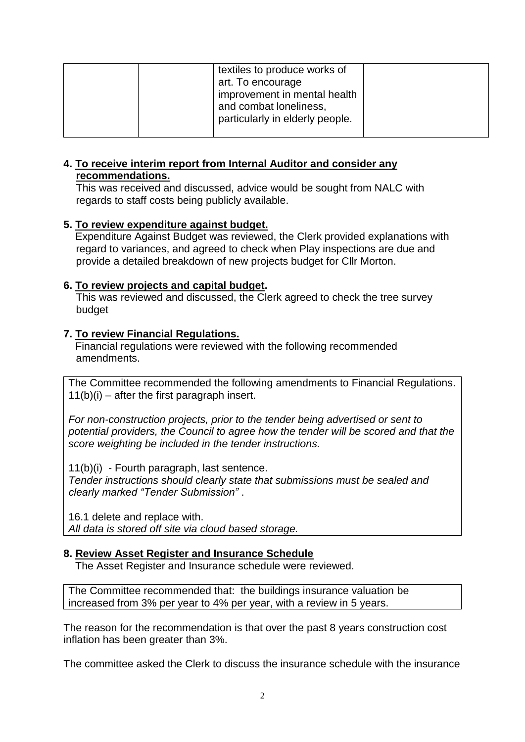| particularly in elderly people. |  | textiles to produce works of<br>art. To encourage<br>improvement in mental health<br>and combat loneliness, |  |
|---------------------------------|--|-------------------------------------------------------------------------------------------------------------|--|
|---------------------------------|--|-------------------------------------------------------------------------------------------------------------|--|

#### **4. To receive interim report from Internal Auditor and consider any recommendations.**

This was received and discussed, advice would be sought from NALC with regards to staff costs being publicly available.

## **5. To review expenditure against budget.**

 Expenditure Against Budget was reviewed, the Clerk provided explanations with regard to variances, and agreed to check when Play inspections are due and provide a detailed breakdown of new projects budget for Cllr Morton.

## **6. To review projects and capital budget.**

This was reviewed and discussed, the Clerk agreed to check the tree survey budget

## **7. To review Financial Regulations.**

 Financial regulations were reviewed with the following recommended amendments.

The Committee recommended the following amendments to Financial Regulations.  $11(b)(i)$  – after the first paragraph insert.

*For non-construction projects, prior to the tender being advertised or sent to potential providers, the Council to agree how the tender will be scored and that the score weighting be included in the tender instructions.*

11(b)(i) - Fourth paragraph, last sentence.

*Tender instructions should clearly state that submissions must be sealed and clearly marked "Tender Submission"* .

16.1 delete and replace with.

*All data is stored off site via cloud based storage.*

#### **8. Review Asset Register and Insurance Schedule**

The Asset Register and Insurance schedule were reviewed.

The Committee recommended that: the buildings insurance valuation be increased from 3% per year to 4% per year, with a review in 5 years.

The reason for the recommendation is that over the past 8 years construction cost inflation has been greater than 3%.

The committee asked the Clerk to discuss the insurance schedule with the insurance